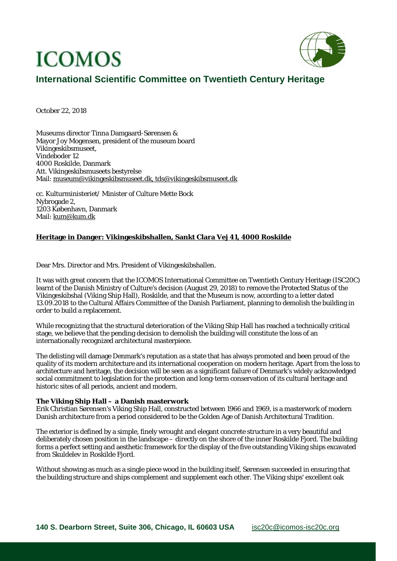# **ICOMOS**



## **International Scientific Committee on Twentieth Century Heritage**

October 22, 2018

Museums director Tinna Damgaard-Sørensen & Mayor Joy Mogensen, president of the museum board Vikingeskibsmuseet, Vindeboder 12 4000 Roskilde, Danmark Att. Vikingeskibsmuseets bestyrelse Mail: museum@vikingeskibsmuseet.dk, tds@vikingeskibsmuseet.dk

cc. Kulturministeriet/ Minister of Culture Mette Bock Nybrogade 2, 1203 København, Danmark Mail: kum@kum.dk

### **Heritage in Danger: Vikingeskibshallen, Sankt Clara Vej 41, 4000 Roskilde**

Dear Mrs. Director and Mrs. President of Vikingeskibshallen.

It was with great concern that the ICOMOS International Committee on Twentieth Century Heritage (ISC20C) learnt of the Danish Ministry of Culture's decision (August 29, 2018) to remove the Protected Status of the Vikingeskibshal (Viking Ship Hall), Roskilde, and that the Museum is now, according to a letter dated 13.09.2018 to the Cultural Affairs Committee of the Danish Parliament, planning to demolish the building in order to build a replacement.

While recognizing that the structural deterioration of the Viking Ship Hall has reached a technically critical stage, we believe that the pending decision to demolish the building will constitute the loss of an internationally recognized architectural masterpiece.

The delisting will damage Denmark's reputation as a state that has always promoted and been proud of the quality of its modern architecture and its international cooperation on modern heritage. Apart from the loss to architecture and heritage, the decision will be seen as a significant failure of Denmark's widely acknowledged social commitment to legislation for the protection and long-term conservation of its cultural heritage and historic sites of all periods, ancient and modern.

#### **The Viking Ship Hall – a Danish masterwork**

Erik Christian Sørensen's Viking Ship Hall, constructed between 1966 and 1969, is a masterwork of modern Danish architecture from a period considered to be the Golden Age of Danish Architectural Tradition.

The exterior is defined by a simple, finely wrought and elegant concrete structure in a very beautiful and deliberately chosen position in the landscape – directly on the shore of the inner Roskilde Fjord. The building forms a perfect setting and aesthetic framework for the display of the five outstanding Viking ships excavated from Skuldelev in Roskilde Fjord.

Without showing as much as a single piece wood in the building itself, Sørensen succeeded in ensuring that the building structure and ships complement and supplement each other. The Viking ships' excellent oak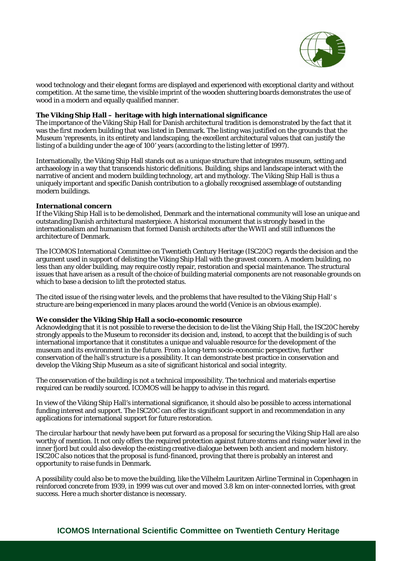

wood technology and their elegant forms are displayed and experienced with exceptional clarity and without competition. At the same time, the visible imprint of the wooden shuttering boards demonstrates the use of wood in a modern and equally qualified manner.

#### **The Viking Ship Hall – heritage with high international significance**

The importance of the Viking Ship Hall for Danish architectural tradition is demonstrated by the fact that it was the first modern building that was listed in Denmark. The listing was justified on the grounds that the Museum 'represents, in its entirety and landscaping, the excellent architectural values that can justify the listing of a building under the age of 100' years (according to the listing letter of 1997).

Internationally, the Viking Ship Hall stands out as a unique structure that integrates museum, setting and archaeology in a way that transcends historic definitions. Building, ships and landscape interact with the narrative of ancient and modern building technology, art and mythology. The Viking Ship Hall is thus a uniquely important and specific Danish contribution to a globally recognised assemblage of outstanding modern buildings.

#### **International concern**

If the Viking Ship Hall is to be demolished, Denmark and the international community will lose an unique and outstanding Danish architectural masterpiece. A historical monument that is strongly based in the internationalism and humanism that formed Danish architects after the WWII and still influences the architecture of Denmark.

The ICOMOS International Committee on Twentieth Century Heritage (ISC20C) regards the decision and the argument used in support of delisting the Viking Ship Hall with the gravest concern. A modern building, no less than any older building, may require costly repair, restoration and special maintenance. The structural issues that have arisen as a result of the choice of building material components are not reasonable grounds on which to base a decision to lift the protected status.

The cited issue of the rising water levels, and the problems that have resulted to the Viking Ship Hall' s structure are being experienced in many places around the world (Venice is an obvious example).

#### **We consider the Viking Ship Hall a socio-economic resource**

Acknowledging that it is not possible to reverse the decision to de-list the Viking Ship Hall, the ISC20C hereby strongly appeals to the Museum to reconsider its decision and, instead, to accept that the building is of such international importance that it constitutes a unique and valuable resource for the development of the museum and its environment in the future. From a long-term socio-economic perspective, further conservation of the hall's structure is a possibility. It can demonstrate best practice in conservation and develop the Viking Ship Museum as a site of significant historical and social integrity.

The conservation of the building is not a technical impossibility. The technical and materials expertise required can be readily sourced. ICOMOS will be happy to advise in this regard.

In view of the Viking Ship Hall's international significance, it should also be possible to access international funding interest and support. The ISC20C can offer its significant support in and recommendation in any applications for international support for future restoration.

The circular harbour that newly have been put forward as a proposal for securing the Viking Ship Hall are also worthy of mention. It not only offers the required protection against future storms and rising water level in the inner fjord but could also develop the existing creative dialogue between both ancient and modern history. ISC20C also notices that the proposal is fund-financed, proving that there is probably an interest and opportunity to raise funds in Denmark.

A possibility could also be to move the building, like the Vilhelm Lauritzen Airline Terminal in Copenhagen in reinforced concrete from 1939, in 1999 was cut over and moved 3.8 km on inter-connected lorries, with great success. Here a much shorter distance is necessary.